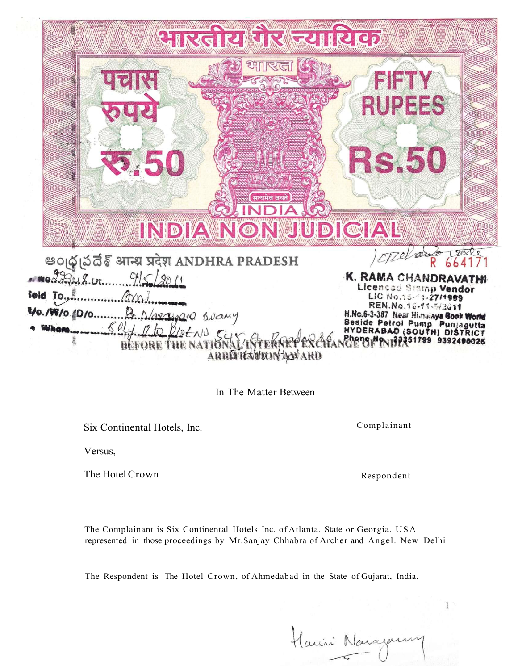C RS.50 सत्यमेव जयते **JUDIGIAL** INDIAIN ) opper उँढै आन्ध्र प्रदेश ANDHRA PRADESH K. RAMA CHANDI Licenced Stamp Vendor Teld To LIC No.15-11-27/1999 REN.No.18-11-5/3011 Vo./W/o. D/o.. Mayona Suany H.No.6-3-387 Near Himalaya Book World **Beside Petrol Pump**  $\mathcal{S}el$ etNU C HYDERABAD (SOUTH) DIS ICT 351799 9392490025 ENG ARBITHEATIONWARD

In The Matter Between

Six Continental Hotels, Inc.

Complainant

Versus,

The Hotel Crown Respondent

 $\mathbb{I}$ 

The Complainant is Six Continental Hotels Inc. of Atlanta. State or Georgia. USA represented in those proceedings by Mr.Sanjay Chhabra of Archer and Angel. New Delhi

The Respondent is The Hotel Crown, of Ahmedabad in the State of Gujarat, India.

Harri Naraza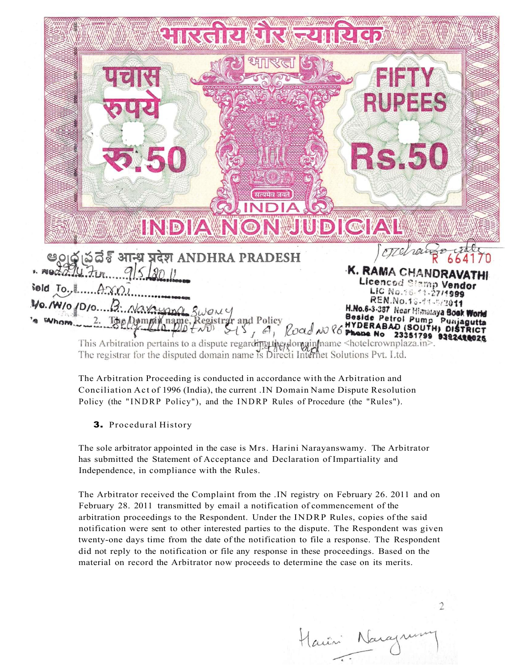

The Arbitration Proceeding is conducted in accordance with the Arbitration and Conciliation Act of 1996 (India), the current .IN Domain Name Dispute Resolution Policy (the "INDRP Policy"), and the INDRP Rules of Procedure (the "Rules").

3. Procedural History

The sole arbitrator appointed in the case is Mrs. Harini Narayanswamy. The Arbitrator has submitted the Statement of Acceptance and Declaration of Impartiality and Independence, in compliance with the Rules.

The Arbitrator received the Complaint from the .IN registry on February 26. 2011 and on February 28. 2011 transmitted by email a notification of commencement of the arbitration proceedings to the Respondent. Under the INDRP Rules, copies of the said notification were sent to other interested parties to the dispute. The Respondent was given twenty-one days time from the date of the notification to file a response. The Respondent did not reply to the notification or file any response in these proceedings. Based on the material on record the Arbitrator now proceeds to determine the case on its merits.

Harin Nara

 $\overline{2}$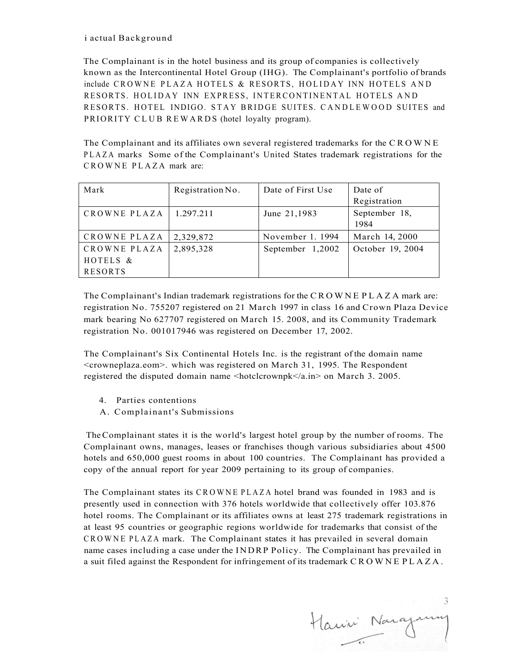# i actual Background

The Complainant is in the hotel business and its group of companies is collectively known as the Intercontinental Hotel Group (IHG). The Complainant's portfolio of brands include CROWNE PLAZA HOTELS & RESORTS, HOLIDAY INN HOTELS AND RESORTS. HOLIDAY INN EXPRESS, INTERCONTINENTAL HOTELS AND RESORTS. HOTEL INDIGO. STAY BRIDGE SUITES. CANDLEWOOD SUITES and PRIORITY CLUB REWARDS (hotel loyalty program).

The Complainant and its affiliates own several registered trademarks for the CROWN E PLAZ A marks Some of the Complainant's United States trademark registrations for the CROWNE PLAZA mark are:

| Mark           | Registration No. | Date of First Use | Date of               |
|----------------|------------------|-------------------|-----------------------|
|                |                  |                   | Registration          |
| CROWNE PLAZA   | 1.297.211        | June 21,1983      | September 18,<br>1984 |
| CROWNE PLAZA   | 2,329,872        | November 1, 1994  | March 14, 2000        |
| CROWNE PLAZA   | 2,895,328        | September 1,2002  | October 19, 2004      |
| HOTELS &       |                  |                   |                       |
| <b>RESORTS</b> |                  |                   |                       |

The Complainant's Indian trademark registrations for the CROWN E PLAZ A mark are: registration No. 755207 registered on 21 March 1997 in class 16 and Crown Plaza Device mark bearing No 627707 registered on March 15. 2008, and its Community Trademark registration No. 001017946 was registered on December 17, 2002.

The Complainant's Six Continental Hotels Inc. is the registrant of the domain name <crowneplaza.eom>. which was registered on March 31, 1995. The Respondent registered the disputed domain name <hotclcrownpk</a.in> on March 3. 2005.

- 4. Parties contentions
- A. Complainant's Submissions

The Complainant states it is the world's largest hotel group by the number of rooms. The Complainant owns, manages, leases or franchises though various subsidiaries about 4500 hotels and 650,000 guest rooms in about 100 countries. The Complainant has provided a copy of the annual report for year 2009 pertaining to its group of companies.

The Complainant states its CROWN E PLAZ A hotel brand was founded in 1983 and is presently used in connection with 376 hotels worldwide that collectively offer 103.876 hotel rooms. The Complainant or its affiliates owns at least 275 trademark registrations in at least 95 countries or geographic regions worldwide for trademarks that consist of the CROWN E PLAZ A mark. The Complainant states it has prevailed in several domain name cases including a case under the INDRP Policy. The Complainant has prevailed in a suit filed against the Respondent for infringement of its trademark CROWN E PLAZA .

3 Harri Noray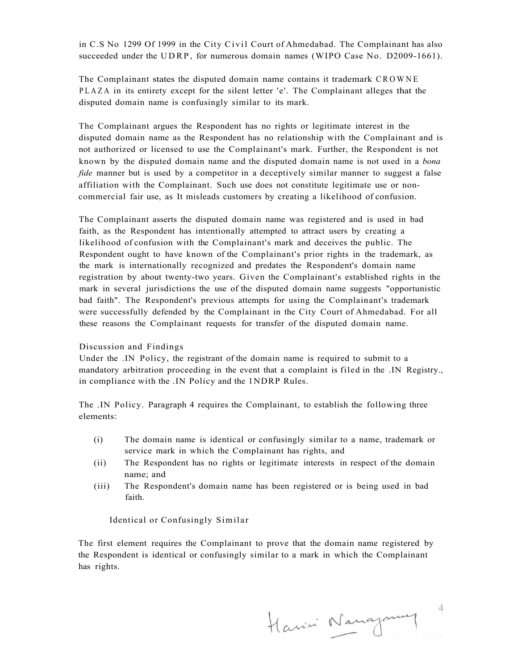in C.S No 1299 Of 1999 in the City Civil Court of Ahmedabad. The Complainant has also succeeded under the UDRP, for numerous domain names (WIPO Case No. D2009-1661).

The Complainant states the disputed domain name contains it trademark CROWNE PLAZ A in its entirety except for the silent letter 'e'. The Complainant alleges that the disputed domain name is confusingly similar to its mark.

The Complainant argues the Respondent has no rights or legitimate interest in the disputed domain name as the Respondent has no relationship with the Complainant and is not authorized or licensed to use the Complainant's mark. Further, the Respondent is not known by the disputed domain name and the disputed domain name is not used in a *bona fide* manner but is used by a competitor in a deceptively similar manner to suggest a false affiliation with the Complainant. Such use does not constitute legitimate use or noncommercial fair use, as It misleads customers by creating a likelihood of confusion.

The Complainant asserts the disputed domain name was registered and is used in bad faith, as the Respondent has intentionally attempted to attract users by creating a likelihood of confusion with the Complainant's mark and deceives the public. The Respondent ought to have known of the Complainant's prior rights in the trademark, as the mark is internationally recognized and predates the Respondent's domain name registration by about twenty-two years. Given the Complainant's established rights in the mark in several jurisdictions the use of the disputed domain name suggests "opportunistic bad faith". The Respondent's previous attempts for using the Complainant's trademark were successfully defended by the Complainant in the City Court of Ahmedabad. For all these reasons the Complainant requests for transfer of the disputed domain name.

### Discussion and Findings

Under the .IN Policy, the registrant of the domain name is required to submit to a mandatory arbitration proceeding in the event that a complaint is filed in the .IN Registry., in compliance with the .IN Policy and the 1NDRP Rules.

The .IN Policy. Paragraph 4 requires the Complainant, to establish the following three elements:

- (i) The domain name is identical or confusingly similar to a name, trademark or service mark in which the Complainant has rights, and
- (ii) The Respondent has no rights or legitimate interests in respect of the domain name; and
- (iii) The Respondent's domain name has been registered or is being used in bad faith.

### Identical or Confusingly Similar

The first element requires the Complainant to prove that the domain name registered by the Respondent is identical or confusingly similar to a mark in which the Complainant has rights.

Harrin Nangmuy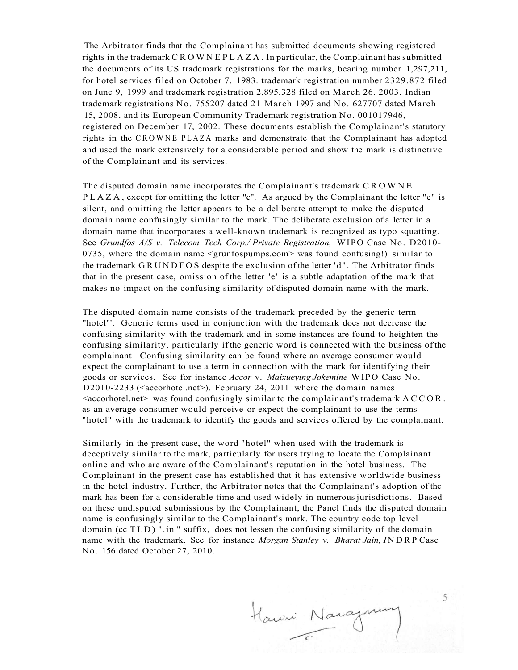The Arbitrator finds that the Complainant has submitted documents showing registered rights in the trademark CROWN E PLAZA . In particular, the Complainant has submitted the documents of its US trademark registrations for the marks, bearing number 1,297,211, for hotel services filed on October 7. 1983. trademark registration number 2329,872 filed on June 9, 1999 and trademark registration 2,895,328 filed on March 26. 2003. Indian trademark registrations No. 755207 dated 21 March 1997 and No. 627707 dated March 15, 2008. and its European Community Trademark registration No. 001017946, registered on December 17, 2002. These documents establish the Complainant's statutory rights in the CROWNE PLAZA marks and demonstrate that the Complainant has adopted and used the mark extensively for a considerable period and show the mark is distinctive of the Complainant and its services.

The disputed domain name incorporates the Complainant's trademark CROWN E PLAZA , except for omitting the letter "c". As argued by the Complainant the letter "e" is silent, and omitting the letter appears to be a deliberate attempt to make the disputed domain name confusingly similar to the mark. The deliberate exclusion of a letter in a domain name that incorporates a well-known trademark is recognized as typo squatting. See *Grundfos A/S v. Telecom Tech Corp./ Private Registration,* WIPO Case No. D2010- 0735, where the domain name <grunfospumps.com> was found confusing!) similar to the trademark GRUNDFO S despite the exclusion of the letter 'd" . The Arbitrator finds that in the present case, omission of the letter 'e' is a subtle adaptation of the mark that makes no impact on the confusing similarity of disputed domain name with the mark.

The disputed domain name consists of the trademark preceded by the generic term "hotel"'. Generic terms used in conjunction with the trademark does not decrease the confusing similarity with the trademark and in some instances are found to heighten the confusing similarity, particularly if the generic word is connected with the business of the complainant Confusing similarity can be found where an average consumer would expect the complainant to use a term in connection with the mark for identifying their goods or services. See for instance *Accor* v. *Maixueying Jokemine* WIPO Case No. D2010-2233 ( $\leq$  accorhotel.net $\geq$ ). February 24, 2011 where the domain names  $\leq$  accorhotel.net  $>$  was found confusingly similar to the complainant's trademark ACCOR. as an average consumer would perceive or expect the complainant to use the terms "hotel" with the trademark to identify the goods and services offered by the complainant.

Similarly in the present case, the word "hotel" when used with the trademark is deceptively similar to the mark, particularly for users trying to locate the Complainant online and who are aware of the Complainant's reputation in the hotel business. The Complainant in the present case has established that it has extensive worldwide business in the hotel industry. Further, the Arbitrator notes that the Complainant's adoption of the mark has been for a considerable time and used widely in numerous jurisdictions. Based on these undisputed submissions by the Complainant, the Panel finds the disputed domain name is confusingly similar to the Complainant's mark. The country code top level domain (cc TLD ) ".in " suffix, does not lessen the confusing similarity of the domain name with the trademark. See for instance *Morgan Stanley v. Bharat Jain, I* NDRP Case No. 156 dated October 27, 2010.

Hawni Naray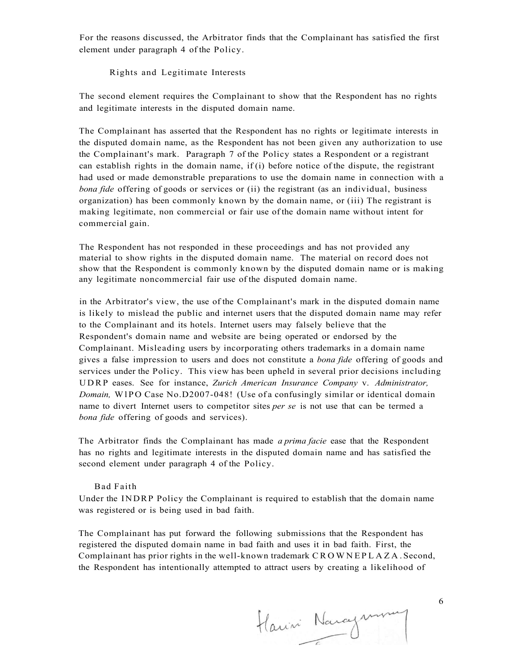For the reasons discussed, the Arbitrator finds that the Complainant has satisfied the first element under paragraph 4 of the Policy.

Rights and Legitimate Interests

The second element requires the Complainant to show that the Respondent has no rights and legitimate interests in the disputed domain name.

The Complainant has asserted that the Respondent has no rights or legitimate interests in the disputed domain name, as the Respondent has not been given any authorization to use the Complainant's mark. Paragraph 7 of the Policy states a Respondent or a registrant can establish rights in the domain name, if  $(i)$  before notice of the dispute, the registrant had used or made demonstrable preparations to use the domain name in connection with a *bona fide* offering of goods or services or (ii) the registrant (as an individual, business organization) has been commonly known by the domain name, or (iii) The registrant is making legitimate, non commercial or fair use of the domain name without intent for commercial gain.

The Respondent has not responded in these proceedings and has not provided any material to show rights in the disputed domain name. The material on record does not show that the Respondent is commonly known by the disputed domain name or is making any legitimate noncommercial fair use of the disputed domain name.

in the Arbitrator's view, the use of the Complainant's mark in the disputed domain name is likely to mislead the public and internet users that the disputed domain name may refer to the Complainant and its hotels. Internet users may falsely believe that the Respondent's domain name and website are being operated or endorsed by the Complainant. Misleading users by incorporating others trademarks in a domain name gives a false impression to users and does not constitute a *bona fide* offering of goods and services under the Policy. This view has been upheld in several prior decisions including UDRP eases. See for instance, *Zurich American Insurance Company* v. *Administrator, Domain,* WlP O Case No.D2007-048! (Use of a confusingly similar or identical domain name to divert Internet users to competitor sites *per se* is not use that can be termed a *bona fide* offering of goods and services).

The Arbitrator finds the Complainant has made *a prima facie* ease that the Respondent has no rights and legitimate interests in the disputed domain name and has satisfied the second element under paragraph 4 of the Policy.

#### Bad Faith

Under the INDRP Policy the Complainant is required to establish that the domain name was registered or is being used in bad faith.

The Complainant has put forward the following submissions that the Respondent has registered the disputed domain name in bad faith and uses it in bad faith. First, the Complainant has prior rights in the well-known trademark CROWN E PLAZA . Second, the Respondent has intentionally attempted to attract users by creating a likelihood of

Harini Naraymony